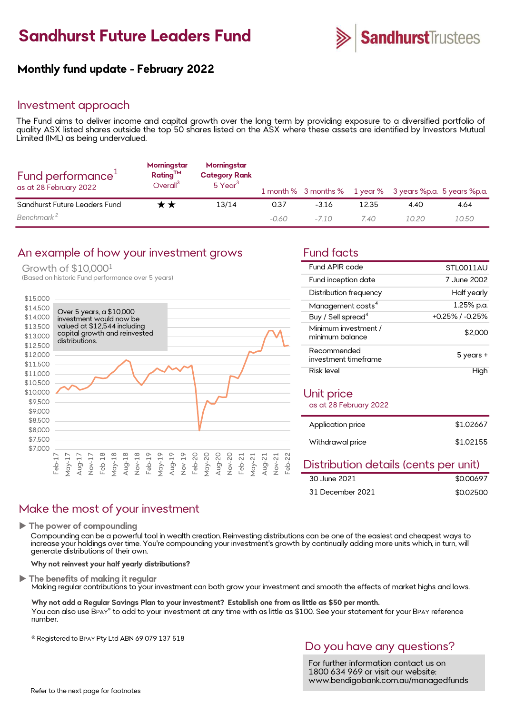

# Monthly fund update - February 2022

#### Investment approach

**Sandhurst Future Leaders Fund Sandhurst**Trustees<br> **Monthly fund update - February 2022**<br>
Investment approach<br>
The Fund aims to deliver income and capital growth over the long term by providing exposure to a diversified po **Sandhurst Future Leaders Fund**<br> **Monthly fund update - February 2022**<br>
Investment approach<br>
The Fund aims to deliver income and capital growth over the long term by providing exposure to a diversified portfolio of<br>
qualit Monthly fund update - February 2022<br>Investment approach<br>The Fund aims to deliver income and capital growth ove<br>quality ASX listed shares outside the top 50 shares listed<br>Limited (IML) as being undervalued.<br>Morningstar Morn

| Fund performance <sup>1</sup><br>as at 28 February 2022 | Morningstar<br>$Rating^{TM}$<br>Overall <sup>3</sup> | Morningstar<br><b>Category Rank</b><br>5 Year <sup>3</sup> |       |         |       | 1 month % 3 months % 1 year % 3 years %p.a. 5 years %p.a. |       |
|---------------------------------------------------------|------------------------------------------------------|------------------------------------------------------------|-------|---------|-------|-----------------------------------------------------------|-------|
| Sandhurst Future Leaders Fund                           | r *                                                  | 13/14                                                      | 0.37  | $-3.16$ | 12.35 | 4.40                                                      | 4.64  |
| Benchmark <sup>2</sup>                                  |                                                      |                                                            | -0.60 | $-710$  | 7.40  | 10.20                                                     | 10.50 |

### An example of how your investment grows Fund facts

Growth of \$10,0001

(Based on historic Fund performance over 5 years)



| Fund APIR code                          | STI 0011AU            |
|-----------------------------------------|-----------------------|
| Fund inception date                     | 7 June 2002           |
| Distribution frequency                  | Half yearly           |
| Management costs <sup>4</sup>           | 1.25% p.a.            |
| Buy / Sell spread <sup>4</sup>          | $+0.25\%$ / $-0.25\%$ |
| Minimum investment /<br>minimum balance | \$2,000               |
| Recommended<br>investment timeframe     | 5 years +             |
| Risk level                              |                       |

#### Unit price

as at 28 February 2022

| Application price | \$1,02667 |
|-------------------|-----------|
| Withdrawal price  | \$1,02155 |

### Distribution details (cents per unit)

| 30 June 2021     | \$0.00697 |
|------------------|-----------|
| 31 December 2021 | \$0.02500 |

## Make the most of your investment

 $\blacktriangleright$  The power of compounding

increase your holdings over time. You're compounding your investment's growth by continually adding more units which, in turn, will generate distributions of their own. 31 December 2021 \$0.02500<br>The power of compounding<br>The power of compounding<br>Compounding con be a powerful tool in wealth creation. Reinvesting distributions can be one of the easiest and cheapest ways to<br>increase your hold

Why not reinvest your half yearly distributions?

The benefits of making it regular<br>Making regular contributions to your investment can both grow your investment and smooth the effects of market highs and lows.

Why not add a Regular Savings Plan to your investment? Establish one from as little as \$50 per month. You can also use BPAY® to add to your investment at any time with as little as \$100. See your statement for your BPAY reference The with the statement at any time with as little as \$100. See your statement for your BPAY reference the prover<br>time. You're compounding your investment's growth by continually adding more units which, in turn, will their number. nd smooth the effects of market highs and lows.<br>
tle as \$50 per month.<br>
0. See your statement for your BPAY reference<br>
DO YOU have any questions?<br>
For further information contact us on<br>
1800 634 969 or visit our website:<br> ind smooth the effects of market highs and lows.<br>
ittle as \$50 per month.<br>
20. See your statement for your BPAY reference<br>
Do you have any questions?<br>
For further information contact us on<br>
1800 634 969 or visit our websit

® Registered to BPAY Pty Ltd ABN 69 079 137 518

1800 634 969 or visit our website: www.bendigobank.com.au/managedfunds